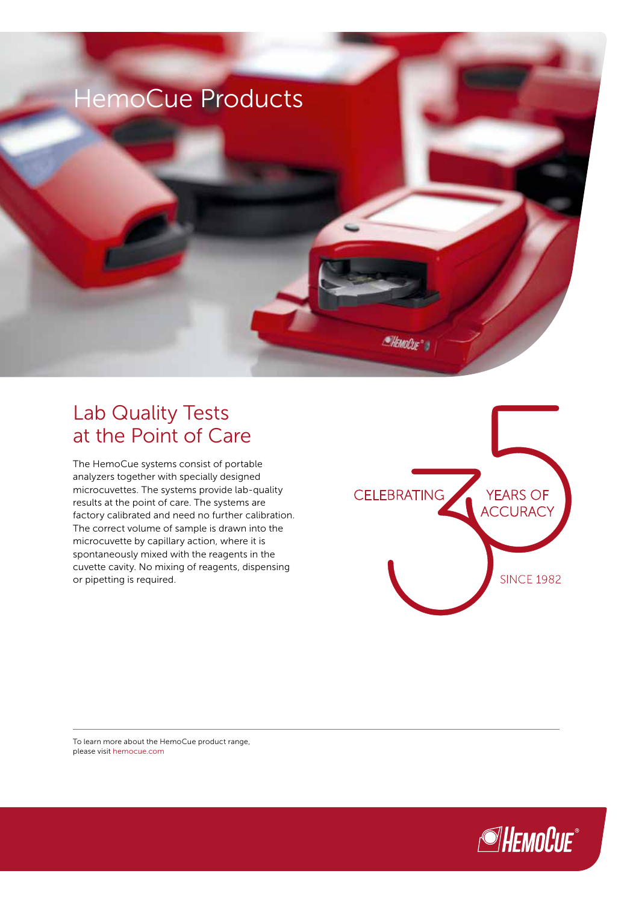

## Lab Quality Tests at the Point of Care

The HemoCue systems consist of portable analyzers together with specially designed microcuvettes. The systems provide lab-quality results at the point of care. The systems are factory calibrated and need no further calibration. The correct volume of sample is drawn into the microcuvette by capillary action, where it is spontaneously mixed with the reagents in the cuvette cavity. No mixing of reagents, dispensing or pipetting is required.



To learn more about the HemoCue product range, please visit hemocue.com

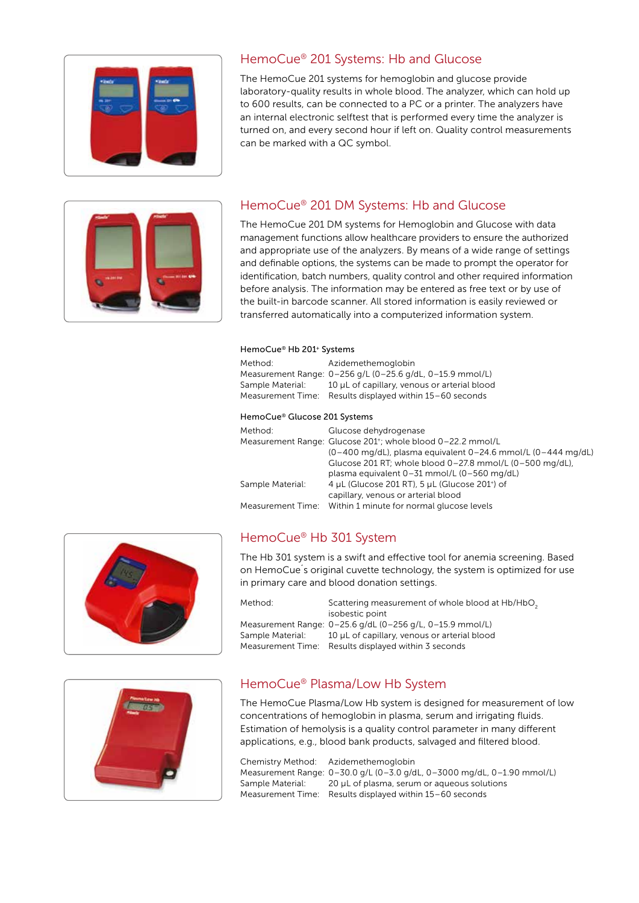

#### HemoCue® 201 Systems: Hb and Glucose

The HemoCue 201 systems for hemoglobin and glucose provide laboratory-quality results in whole blood. The analyzer, which can hold up to 600 results, can be connected to a PC or a printer. The analyzers have an internal electronic selftest that is performed every time the analyzer is turned on, and every second hour if left on. Quality control measurements can be marked with a QC symbol.



#### HemoCue® 201 DM Systems: Hb and Glucose

The HemoCue 201 DM systems for Hemoglobin and Glucose with data management functions allow healthcare providers to ensure the authorized and appropriate use of the analyzers. By means of a wide range of settings and definable options, the systems can be made to prompt the operator for identification, batch numbers, quality control and other required information before analysis. The information may be entered as free text or by use of the built-in barcode scanner. All stored information is easily reviewed or transferred automatically into a computerized information system.

#### HemoCue® Hb 201+ Systems

| Method:                               | Azidemethemoglobin<br>Measurement Range: 0-256 g/L (0-25.6 g/dL, 0-15.9 mmol/L)             |  |
|---------------------------------------|---------------------------------------------------------------------------------------------|--|
| Sample Material:<br>Measurement Time: | 10 µL of capillary, venous or arterial blood<br>Results displayed within 15-60 seconds      |  |
|                                       |                                                                                             |  |
| HemoCue® Glucose 201 Systems          |                                                                                             |  |
| Method:                               | Glucose dehydrogenase                                                                       |  |
|                                       | Measurement Range: Glucose 201 <sup>+</sup> ; whole blood 0-22.2 mmol/L                     |  |
|                                       | $(0-400 \text{ mg/dL})$ , plasma equivalent $0-24.6 \text{ mmol/L}$ $(0-444 \text{ mg/dL})$ |  |
|                                       | Glucose 201 RT; whole blood $0-27.8$ mmol/L $(0-500$ mg/dL),                                |  |
|                                       | plasma equivalent 0-31 mmol/L (0-560 mg/dL)                                                 |  |
| Sample Material:                      | 4 µL (Glucose 201 RT), 5 µL (Glucose 201+) of                                               |  |
|                                       | capillary, venous or arterial blood                                                         |  |
| Measurement Time:                     | Within 1 minute for normal glucose levels                                                   |  |



### HemoCue® Hb 301 System

The Hb 301 system is a swift and effective tool for anemia screening. Based on HemoCue´s original cuvette technology, the system is optimized for use in primary care and blood donation settings.

| Method:          | Scattering measurement of whole blood at Hb/HbO.          |
|------------------|-----------------------------------------------------------|
|                  | isobestic point                                           |
|                  | Measurement Range: 0-25.6 g/dL (0-256 g/L, 0-15.9 mmol/L) |
| Sample Material: | 10 µL of capillary, venous or arterial blood              |
|                  | Measurement Time: Results displayed within 3 seconds      |



#### HemoCue® Plasma/Low Hb System

The HemoCue Plasma/Low Hb system is designed for measurement of low concentrations of hemoglobin in plasma, serum and irrigating fluids. Estimation of hemolysis is a quality control parameter in many different applications, e.g., blood bank products, salvaged and filtered blood.

Chemistry Method: Azidemethemoglobin Measurement Range: 0–30.0 g/L (0–3.0 g/dL, 0–3000 mg/dL, 0–1.90 mmol/L) Sample Material: 20 µL of plasma, serum or aqueous solutions Measurement Time: Results displayed within 15–60 seconds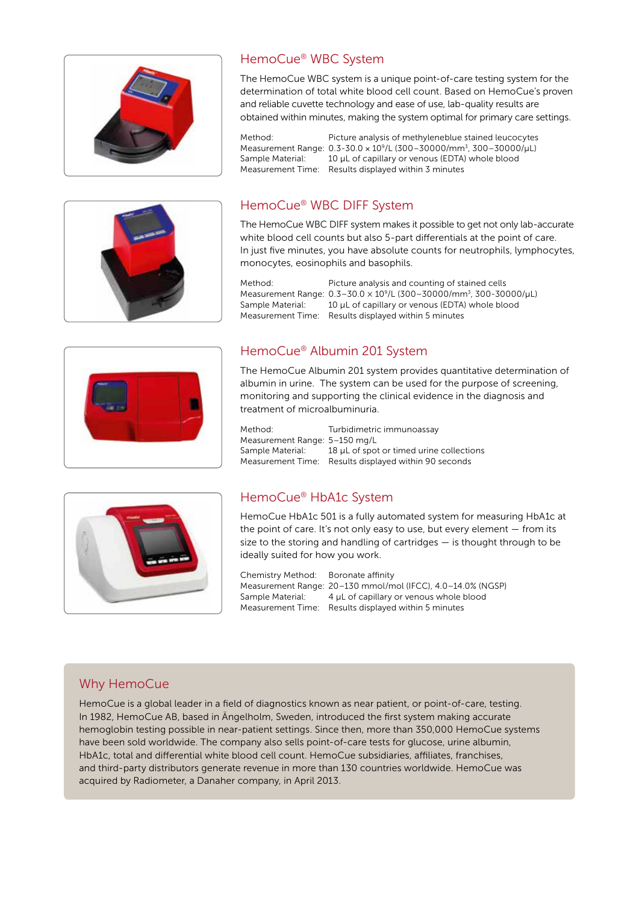



#### HemoCue® WBC System

The HemoCue WBC system is a unique point-of-care testing system for the determination of total white blood cell count. Based on HemoCue's proven and reliable cuvette technology and ease of use, lab-quality results are obtained within minutes, making the system optimal for primary care settings.

Method: Picture analysis of methyleneblue stained leucocytes Measurement Range: 0.3-30.0 × 109/L (300–30000/mm3, 300–30000/µL) Sample Material: 10 µL of capillary or venous (EDTA) whole blood Measurement Time: Results displayed within 3 minutes

#### HemoCue® WBC DIFF System

The HemoCue WBC DIFF system makes it possible to get not only lab-accurate white blood cell counts but also 5-part differentials at the point of care. In just five minutes, you have absolute counts for neutrophils, lymphocytes, monocytes, eosinophils and basophils.

Method: Picture analysis and counting of stained cells Measurement Range: 0.3–30.0 × 109/L (300–30000/mm3, 300-30000/µL) Sample Material: 10 µL of capillary or venous (EDTA) whole blood Measurement Time: Results displayed within 5 minutes



### HemoCue® Albumin 201 System

The HemoCue Albumin 201 system provides quantitative determination of albumin in urine. The system can be used for the purpose of screening, monitoring and supporting the clinical evidence in the diagnosis and treatment of microalbuminuria.

Method: Turbidimetric immunoassay Measurement Range: 5–150 mg/L Sample Material: 18 µL of spot or timed urine collections Measurement Time: Results displayed within 90 seconds



### HemoCue® HbA1c System

HemoCue HbA1c 501 is a fully automated system for measuring HbA1c at the point of care. It's not only easy to use, but every element — from its size to the storing and handling of cartridges  $-$  is thought through to be ideally suited for how you work.

Chemistry Method: Boronate affinity

Measurement Range: 20–130 mmol/mol (IFCC), 4.0–14.0% (NGSP) Sample Material: 4 µL of capillary or venous whole blood Measurement Time: Results displayed within 5 minutes

#### Why HemoCue

HemoCue is a global leader in a field of diagnostics known as near patient, or point-of-care, testing. In 1982, HemoCue AB, based in Ängelholm, Sweden, introduced the first system making accurate hemoglobin testing possible in near-patient settings. Since then, more than 350,000 HemoCue systems have been sold worldwide. The company also sells point-of-care tests for glucose, urine albumin, HbA1c, total and differential white blood cell count. HemoCue subsidiaries, affiliates, franchises, and third-party distributors generate revenue in more than 130 countries worldwide. HemoCue was acquired by Radiometer, a Danaher company, in April 2013.